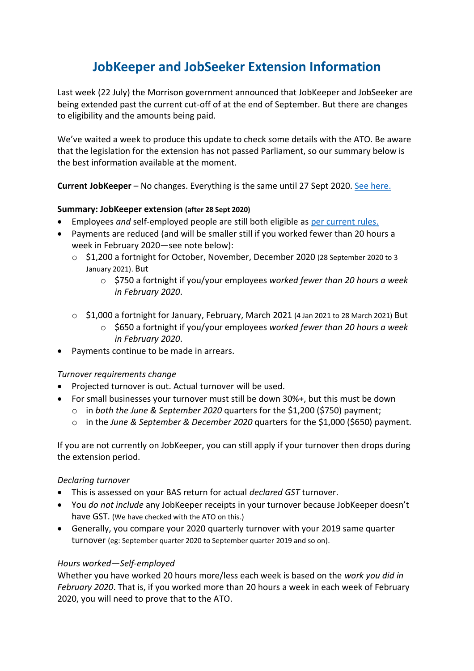# **JobKeeper and JobSeeker Extension Information**

Last week (22 July) the Morrison government announced that JobKeeper and JobSeeker are being extended past the current cut-off of at the end of September. But there are changes to eligibility and the amounts being paid.

We've waited a week to produce this update to check some details with the ATO. Be aware that the legislation for the extension has not passed Parliament, so our summary below is the best information available at the moment.

**Current JobKeeper** – No changes. Everything is the same until 27 Sept 2020. [See here.](https://www.selfemployedaustralia.com.au/Current-Issues/Corona-Virus/coronavirus-self-employed-small-business-support)

## **Summary: JobKeeper extension (after 28 Sept 2020)**

- Employees *and* self-employed people are still both eligible as [per current rules.](https://www.selfemployedaustralia.com.au/Current-Issues/Corona-Virus/coronavirus-self-employed-small-busin)
- Payments are reduced (and will be smaller still if you worked fewer than 20 hours a week in February 2020—see note below):
	- o \$1,200 a fortnight for October, November, December 2020 (28 September 2020 to 3 January 2021). But
		- o \$750 a fortnight if you/your employees *worked fewer than 20 hours a week in February 2020*.
	- $\circ$  \$1,000 a fortnight for January, February, March 2021 (4 Jan 2021 to 28 March 2021) But
		- o \$650 a fortnight if you/your employees *worked fewer than 20 hours a week in February 2020*.
- Payments continue to be made in arrears.

# *Turnover requirements change*

- Projected turnover is out. Actual turnover will be used.
- For small businesses your turnover must still be down 30%+, but this must be down
	- o in *both the June & September 2020* quarters for the \$1,200 (\$750) payment;
	- o in the *June & September & December 2020* quarters for the \$1,000 (\$650) payment.

If you are not currently on JobKeeper, you can still apply if your turnover then drops during the extension period.

#### *Declaring turnover*

- This is assessed on your BAS return for actual *declared GST* turnover.
- You *do not include* any JobKeeper receipts in your turnover because JobKeeper doesn't have GST. (We have checked with the ATO on this.)
- Generally, you compare your 2020 quarterly turnover with your 2019 same quarter turnover (eg: September quarter 2020 to September quarter 2019 and so on).

# *Hours worked—Self-employed*

Whether you have worked 20 hours more/less each week is based on the *work you did in February 2020*. That is, if you worked more than 20 hours a week in each week of February 2020, you will need to prove that to the ATO.